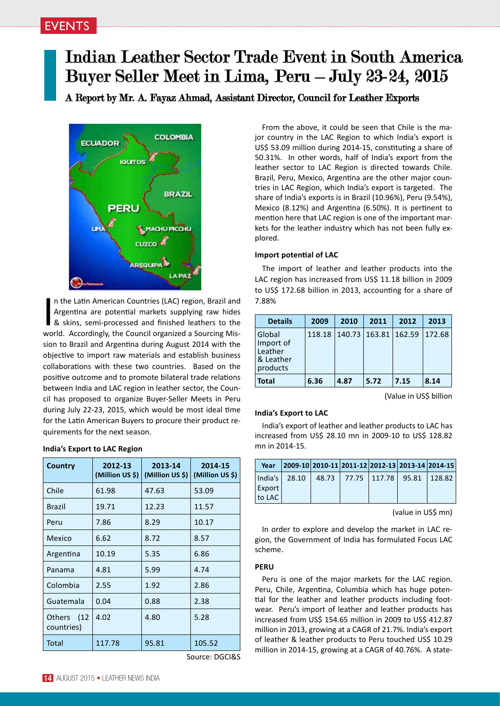# Indian Leather Sector Trade Event in South America Buyer Seller Meet in Lima, Peru – July 23-24, 2015

A Report by Mr. A. Fayaz Ahmad, Assistant Director, Council for Leather Exports



In the Latin American Countries (LAC) region, Brazil and<br>Argentina are potential markets supplying raw hides<br>& skins, semi-processed and finished leathers to the<br>world. Accordingly, the Council organized a Sourcing Misn the Latin American Countries (LAC) region, Brazil and Argentina are potential markets supplying raw hides & skins, semi-processed and finished leathers to the sion to Brazil and Argentina during August 2014 with the objective to import raw materials and establish business collaborations with these two countries. Based on the positive outcome and to promote bilateral trade relations between India and LAC region in leather sector, the Council has proposed to organize Buyer-Seller Meets in Peru during July 22-23, 2015, which would be most ideal time for the Latin American Buyers to procure their product requirements for the next season.

## **India's Export to LAC Region**

| Country                             | 2012-13<br>(Million US \$) | 2013-14<br>(Million US \$) | 2014-15<br>(Million US \$) |
|-------------------------------------|----------------------------|----------------------------|----------------------------|
| Chile                               | 61.98                      | 47.63                      | 53.09                      |
| Brazil                              | 19.71                      | 12.23                      | 11.57                      |
| Peru                                | 7.86                       | 8.29                       | 10.17                      |
| Mexico                              | 6.62                       | 8.72                       | 8.57                       |
| Argentina                           | 10.19                      | 5.35                       | 6.86                       |
| Panama                              | 4.81                       | 5.99                       | 4.74                       |
| Colombia                            | 2.55                       | 1.92                       | 2.86                       |
| Guatemala                           | 0.04                       | 0.88                       | 2.38                       |
| (12)<br><b>Others</b><br>countries) | 4.02                       | 4.80                       | 5.28                       |
| Total                               | 117.78                     | 95.81                      | 105.52                     |

Source: DGCI&S

mention here that LAC region is one of the important markets for the leather industry which has not been fully explored. **Import potential of LAC** The import of leather and leather products into the LAC region has increased from US\$ 11.18 billion in 2009 to US\$ 172.68 billion in 2013, accounting for a share of 7.88%

| <b>Details</b>                                          | 2009   | 2010 | 2011                     | 2012 | 2013   |
|---------------------------------------------------------|--------|------|--------------------------|------|--------|
| Global<br>Import of<br>Leather<br>& Leather<br>products | 118.18 |      | 140.73   163.81   162.59 |      | 172.68 |
| <b>Total</b>                                            | 6.36   | 4.87 | 5.72                     | 7.15 | 8.14   |

From the above, it could be seen that Chile is the major country in the LAC Region to which India's export is US\$ 53.09 million during 2014-15, constituting a share of 50.31%. In other words, half of India's export from the leather sector to LAC Region is directed towards Chile. Brazil, Peru, Mexico, Argentina are the other major countries in LAC Region, which India's export is targeted. The share of India's exports is in Brazil (10.96%), Peru (9.54%), Mexico (8.12%) and Argentina (6.50%). It is pertinent to

(Value in US\$ billion

## **India's Export to LAC**

India's export of leather and leather products to LAC has increased from US\$ 28.10 mn in 2009-10 to US\$ 128.82 mn in 2014-15.

| Year   |                     |  | $ 2009-10 2010-11 2011-12 2012-13 2013-14 2014-15 $ |  |
|--------|---------------------|--|-----------------------------------------------------|--|
|        | $ $ India's   28.10 |  | 48.73 77.75 117.78 95.81 128.82                     |  |
| Export |                     |  |                                                     |  |
| to LAC |                     |  |                                                     |  |

(value in US\$ mn)

In order to explore and develop the market in LAC region, the Government of India has formulated Focus LAC scheme.

## **PERU**

Peru is one of the major markets for the LAC region. Peru, Chile, Argentina, Columbia which has huge potential for the leather and leather products including footwear. Peru's import of leather and leather products has increased from US\$ 154.65 million in 2009 to US\$ 412.87 million in 2013, growing at a CAGR of 21.7%. India's export of leather & leather products to Peru touched US\$ 10.29 million in 2014-15, growing at a CAGR of 40.76%. A state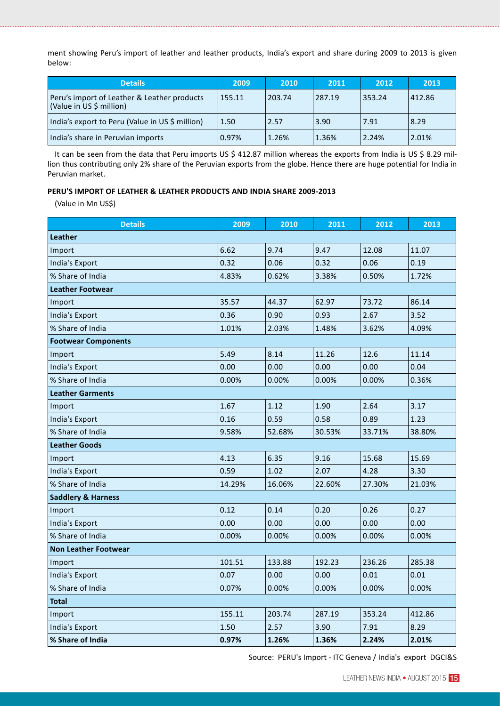ment showing Peru's import of leather and leather products, India's export and share during 2009 to 2013 is given below:

| <b>Details</b>                                                          | 2009   | 2010   | 2011   | 2012   | 2013   |
|-------------------------------------------------------------------------|--------|--------|--------|--------|--------|
| Peru's import of Leather & Leather products<br>(Value in US \$ million) | 155.11 | 203.74 | 287.19 | 353.24 | 412.86 |
| India's export to Peru (Value in US \$ million)                         | 1.50   | 2.57   | 3.90   | 7.91   | 8.29   |
| India's share in Peruvian imports                                       | 0.97%  | 1.26%  | 1.36%  | 2.24%  | 2.01%  |

It can be seen from the data that Peru imports US \$ 412.87 million whereas the exports from India is US \$ 8.29 million thus contributing only 2% share of the Peruvian exports from the globe. Hence there are huge potential for India in Peruvian market.

## **PERU'S IMPORT OF LEATHER & LEATHER PRODUCTS AND INDIA SHARE 2009-2013**

(Value in Mn US\$)

| <b>Details</b>                | 2009   | 2010   | 2011   | 2012   | 2013   |  |  |
|-------------------------------|--------|--------|--------|--------|--------|--|--|
| Leather                       |        |        |        |        |        |  |  |
| Import                        | 6.62   | 9.74   | 9.47   | 12.08  | 11.07  |  |  |
| India's Export                | 0.32   | 0.06   | 0.32   | 0.06   | 0.19   |  |  |
| % Share of India              | 4.83%  | 0.62%  | 3.38%  | 0.50%  | 1.72%  |  |  |
| <b>Leather Footwear</b>       |        |        |        |        |        |  |  |
| Import                        | 35.57  | 44.37  | 62.97  | 73.72  | 86.14  |  |  |
| India's Export                | 0.36   | 0.90   | 0.93   | 2.67   | 3.52   |  |  |
| % Share of India              | 1.01%  | 2.03%  | 1.48%  | 3.62%  | 4.09%  |  |  |
| <b>Footwear Components</b>    |        |        |        |        |        |  |  |
| Import                        | 5.49   | 8.14   | 11.26  | 12.6   | 11.14  |  |  |
| India's Export                | 0.00   | 0.00   | 0.00   | 0.00   | 0.04   |  |  |
| % Share of India              | 0.00%  | 0.00%  | 0.00%  | 0.00%  | 0.36%  |  |  |
| <b>Leather Garments</b>       |        |        |        |        |        |  |  |
| Import                        | 1.67   | 1.12   | 1.90   | 2.64   | 3.17   |  |  |
| India's Export                | 0.16   | 0.59   | 0.58   | 0.89   | 1.23   |  |  |
| % Share of India              | 9.58%  | 52.68% | 30.53% | 33.71% | 38.80% |  |  |
| <b>Leather Goods</b>          |        |        |        |        |        |  |  |
| Import                        | 4.13   | 6.35   | 9.16   | 15.68  | 15.69  |  |  |
| India's Export                | 0.59   | 1.02   | 2.07   | 4.28   | 3.30   |  |  |
| % Share of India              | 14.29% | 16.06% | 22.60% | 27.30% | 21.03% |  |  |
| <b>Saddlery &amp; Harness</b> |        |        |        |        |        |  |  |
| Import                        | 0.12   | 0.14   | 0.20   | 0.26   | 0.27   |  |  |
| India's Export                | 0.00   | 0.00   | 0.00   | 0.00   | 0.00   |  |  |
| % Share of India              | 0.00%  | 0.00%  | 0.00%  | 0.00%  | 0.00%  |  |  |
| <b>Non Leather Footwear</b>   |        |        |        |        |        |  |  |
| Import                        | 101.51 | 133.88 | 192.23 | 236.26 | 285.38 |  |  |
| <b>India's Export</b>         | 0.07   | 0.00   | 0.00   | 0.01   | 0.01   |  |  |
| % Share of India              | 0.07%  | 0.00%  | 0.00%  | 0.00%  | 0.00%  |  |  |
| <b>Total</b>                  |        |        |        |        |        |  |  |
| Import                        | 155.11 | 203.74 | 287.19 | 353.24 | 412.86 |  |  |
| India's Export                | 1.50   | 2.57   | 3.90   | 7.91   | 8.29   |  |  |
| % Share of India              | 0.97%  | 1.26%  | 1.36%  | 2.24%  | 2.01%  |  |  |

Source: PERU's Import - ITC Geneva / India's export DGCI&S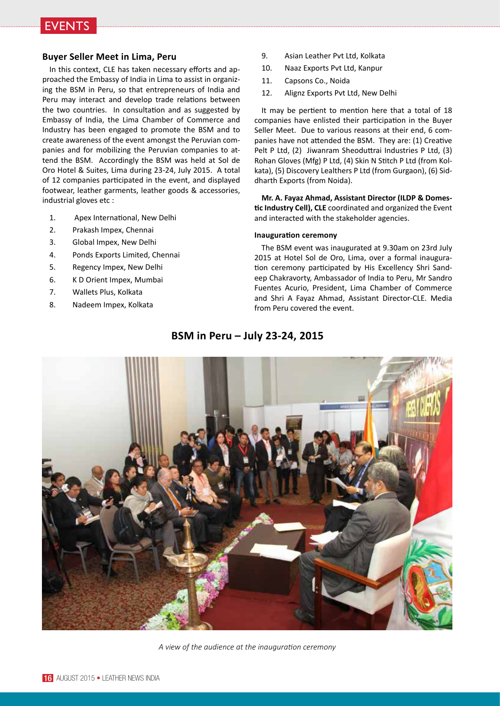

## **Buyer Seller Meet in Lima, Peru**

In this context, CLE has taken necessary efforts and approached the Embassy of India in Lima to assist in organizing the BSM in Peru, so that entrepreneurs of India and Peru may interact and develop trade relations between the two countries. In consultation and as suggested by Embassy of India, the Lima Chamber of Commerce and Industry has been engaged to promote the BSM and to create awareness of the event amongst the Peruvian companies and for mobilizing the Peruvian companies to attend the BSM. Accordingly the BSM was held at Sol de Oro Hotel & Suites, Lima during 23-24, July 2015. A total of 12 companies participated in the event, and displayed footwear, leather garments, leather goods & accessories, industrial gloves etc :

- 1. Apex International, New Delhi
- 2. Prakash Impex, Chennai
- 3. Global Impex, New Delhi
- 4. Ponds Exports Limited, Chennai
- 5. Regency Impex, New Delhi
- 6. K D Orient Impex, Mumbai
- 7. Wallets Plus, Kolkata
- 8. Nadeem Impex, Kolkata
- 9. Asian Leather Pvt Ltd, Kolkata
- 10. Naaz Exports Pvt Ltd, Kanpur
- 11. Capsons Co., Noida
- 12. Alignz Exports Pvt Ltd, New Delhi

It may be pertient to mention here that a total of 18 companies have enlisted their participation in the Buyer Seller Meet. Due to various reasons at their end, 6 companies have not attended the BSM. They are: (1) Creative Pelt P Ltd, (2) Jiwanram Sheoduttrai Industries P Ltd, (3) Rohan Gloves (Mfg) P Ltd, (4) Skin N Stitch P Ltd (from Kolkata), (5) Discovery Lealthers P Ltd (from Gurgaon), (6) Siddharth Exports (from Noida).

**Mr. A. Fayaz Ahmad, Assistant Director (ILDP & Domestic Industry Cell), CLE** coordinated and organized the Event and interacted with the stakeholder agencies.

## **Inauguration ceremony**

The BSM event was inaugurated at 9.30am on 23rd July 2015 at Hotel Sol de Oro, Lima, over a formal inauguration ceremony participated by His Excellency Shri Sandeep Chakravorty, Ambassador of India to Peru, Mr Sandro Fuentes Acurio, President, Lima Chamber of Commerce and Shri A Fayaz Ahmad, Assistant Director-CLE. Media from Peru covered the event.

## **BSM in Peru – July 23-24, 2015**



*A view of the audience at the inauguration ceremony*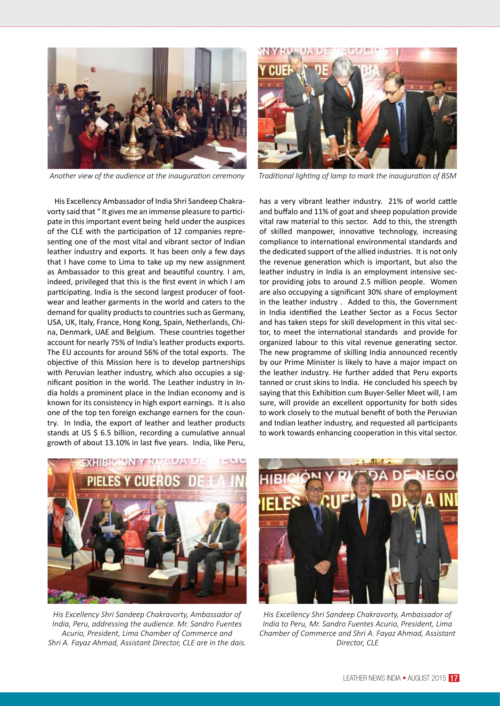

*Another view of the audience at the inauguration ceremony*



*Traditional lighting of lamp to mark the inauguration of BSM*

His Excellency Ambassador of India Shri Sandeep Chakravorty said that " It gives me an immense pleasure to participate in this important event being held under the auspices of the CLE with the participation of 12 companies representing one of the most vital and vibrant sector of Indian leather industry and exports. It has been only a few days that I have come to Lima to take up my new assignment as Ambassador to this great and beautiful country. I am, indeed, privileged that this is the first event in which I am participating. India is the second largest producer of footwear and leather garments in the world and caters to the demand for quality products to countries such as Germany, USA, UK, Italy, France, Hong Kong, Spain, Netherlands, China, Denmark, UAE and Belgium. These countries together account for nearly 75% of India's leather products exports. The EU accounts for around 56% of the total exports. The objective of this Mission here is to develop partnerships with Peruvian leather industry, which also occupies a significant position in the world. The Leather industry in India holds a prominent place in the Indian economy and is known for its consistency in high export earnings. It is also one of the top ten foreign exchange earners for the country. In India, the export of leather and leather products stands at US \$ 6.5 billion, recording a cumulative annual growth of about 13.10% in last five years. India, like Peru, has a very vibrant leather industry. 21% of world cattle and buffalo and 11% of goat and sheep population provide vital raw material to this sector. Add to this, the strength of skilled manpower, innovative technology, increasing compliance to international environmental standards and the dedicated support of the allied industries. It is not only the revenue generation which is important, but also the leather industry in India is an employment intensive sector providing jobs to around 2.5 million people. Women are also occupying a significant 30% share of employment in the leather industry . Added to this, the Government in India identified the Leather Sector as a Focus Sector and has taken steps for skill development in this vital sector, to meet the international standards and provide for organized labour to this vital revenue generating sector. The new programme of skilling India announced recently by our Prime Minister is likely to have a major impact on the leather industry. He further added that Peru exports tanned or crust skins to India. He concluded his speech by saying that this Exhibition cum Buyer-Seller Meet will, I am sure, will provide an excellent opportunity for both sides to work closely to the mutual benefit of both the Peruvian and Indian leather industry, and requested all participants to work towards enhancing cooperation in this vital sector.



*His Excellency Shri Sandeep Chakravorty, Ambassador of India, Peru, addressing the audience. Mr. Sandro Fuentes Acurio, President, Lima Chamber of Commerce and Shri A. Fayaz Ahmad, Assistant Director, CLE are in the dais.* 



*His Excellency Shri Sandeep Chakravorty, Ambassador of India to Peru, Mr. Sandro Fuentes Acurio, President, Lima Chamber of Commerce and Shri A. Fayaz Ahmad, Assistant Director, CLE*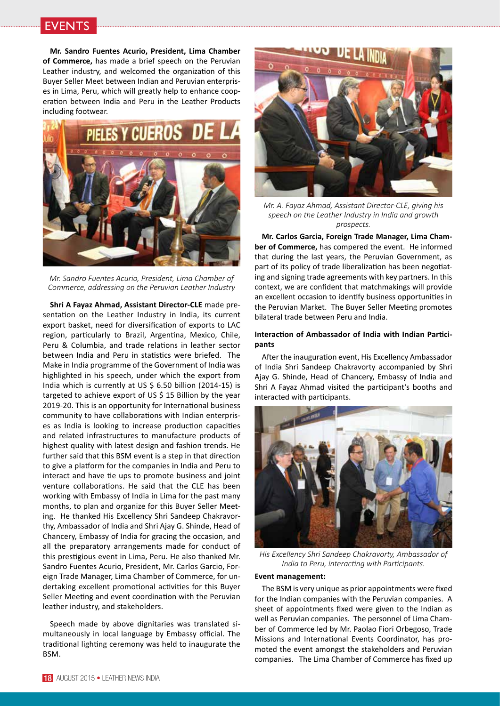## **EVENTS**

**Mr. Sandro Fuentes Acurio, President, Lima Chamber of Commerce,** has made a brief speech on the Peruvian Leather industry, and welcomed the organization of this Buyer Seller Meet between Indian and Peruvian enterprises in Lima, Peru, which will greatly help to enhance cooperation between India and Peru in the Leather Products including footwear.



*Mr. Sandro Fuentes Acurio, President, Lima Chamber of Commerce, addressing on the Peruvian Leather Industry*

**Shri A Fayaz Ahmad, Assistant Director-CLE** made presentation on the Leather Industry in India, its current export basket, need for diversification of exports to LAC region, particularly to Brazil, Argentina, Mexico, Chile, Peru & Columbia, and trade relations in leather sector between India and Peru in statistics were briefed. The Make in India programme of the Government of India was highlighted in his speech, under which the export from India which is currently at US \$ 6.50 billion (2014-15) is targeted to achieve export of US \$ 15 Billion by the year 2019-20. This is an opportunity for International business community to have collaborations with Indian enterprises as India is looking to increase production capacities and related infrastructures to manufacture products of highest quality with latest design and fashion trends. He further said that this BSM event is a step in that direction to give a platform for the companies in India and Peru to interact and have tie ups to promote business and joint venture collaborations. He said that the CLE has been working with Embassy of India in Lima for the past many months, to plan and organize for this Buyer Seller Meeting. He thanked His Excellency Shri Sandeep Chakravorthy, Ambassador of India and Shri Ajay G. Shinde, Head of Chancery, Embassy of India for gracing the occasion, and all the preparatory arrangements made for conduct of this prestigious event in Lima, Peru. He also thanked Mr. Sandro Fuentes Acurio, President, Mr. Carlos Garcio, Foreign Trade Manager, Lima Chamber of Commerce, for undertaking excellent promotional activities for this Buyer Seller Meeting and event coordination with the Peruvian leather industry, and stakeholders.

Speech made by above dignitaries was translated simultaneously in local language by Embassy official. The traditional lighting ceremony was held to inaugurate the BSM.



*Mr. A. Fayaz Ahmad, Assistant Director-CLE, giving his speech on the Leather Industry in India and growth prospects.*

**Mr. Carlos Garcia, Foreign Trade Manager, Lima Chamber of Commerce,** has compered the event. He informed that during the last years, the Peruvian Government, as part of its policy of trade liberalization has been negotiating and signing trade agreements with key partners. In this context, we are confident that matchmakings will provide an excellent occasion to identify business opportunities in the Peruvian Market. The Buyer Seller Meeting promotes bilateral trade between Peru and India.

## **Interaction of Ambassador of India with Indian Participants**

After the inauguration event, His Excellency Ambassador of India Shri Sandeep Chakravorty accompanied by Shri Ajay G. Shinde, Head of Chancery, Embassy of India and Shri A Fayaz Ahmad visited the participant's booths and interacted with participants.



*His Excellency Shri Sandeep Chakravorty, Ambassador of India to Peru, interacting with Participants.*

#### **Event management:**

The BSM is very unique as prior appointments were fixed for the Indian companies with the Peruvian companies. A sheet of appointments fixed were given to the Indian as well as Peruvian companies. The personnel of Lima Chamber of Commerce led by Mr. Paolao Fiori Orbegoso, Trade Missions and International Events Coordinator, has promoted the event amongst the stakeholders and Peruvian companies. The Lima Chamber of Commerce has fixed up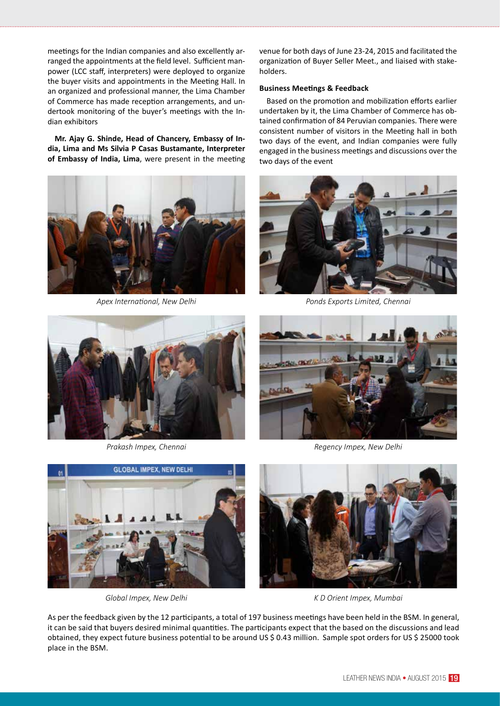meetings for the Indian companies and also excellently arranged the appointments at the field level. Sufficient manpower (LCC staff, interpreters) were deployed to organize the buyer visits and appointments in the Meeting Hall. In an organized and professional manner, the Lima Chamber of Commerce has made reception arrangements, and undertook monitoring of the buyer's meetings with the Indian exhibitors

**Mr. Ajay G. Shinde, Head of Chancery, Embassy of India, Lima and Ms Silvia P Casas Bustamante, Interpreter of Embassy of India, Lima**, were present in the meeting



venue for both days of June 23-24, 2015 and facilitated the organization of Buyer Seller Meet., and liaised with stakeholders.

## **Business Meetings & Feedback**

Based on the promotion and mobilization efforts earlier undertaken by it, the Lima Chamber of Commerce has obtained confirmation of 84 Peruvian companies. There were consistent number of visitors in the Meeting hall in both two days of the event, and Indian companies were fully engaged in the business meetings and discussions over the two days of the event



*Apex International, New Delhi Ponds Exports Limited, Chennai*





*Prakash Impex, Chennai Regency Impex, New Delhi*





*Global Impex, New Delhi K D Orient Impex, Mumbai*

As per the feedback given by the 12 participants, a total of 197 business meetings have been held in the BSM. In general, it can be said that buyers desired minimal quantities. The participants expect that the based on the discussions and lead obtained, they expect future business potential to be around US \$ 0.43 million. Sample spot orders for US \$ 25000 took place in the BSM.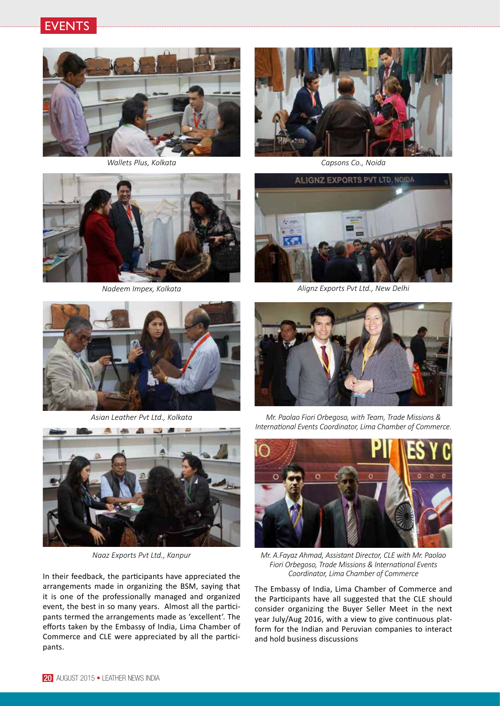



*Wallets Plus, Kolkata*



*Capsons Co., Noida*



*Nadeem Impex, Kolkata*



*Alignz Exports Pvt Ltd., New Delhi*





*Mr. Paolao Fiori Orbegoso, with Team, Trade Missions & International Events Coordinator, Lima Chamber of Commerce.*



*Mr. A.Fayaz Ahmad, Assistant Director, CLE with Mr. Paolao Fiori Orbegoso, Trade Missions & International Events* 

The Embassy of India, Lima Chamber of Commerce and the Participants have all suggested that the CLE should consider organizing the Buyer Seller Meet in the next year July/Aug 2016, with a view to give continuous platform for the Indian and Peruvian companies to interact and hold business discussions

*Asian Leather Pvt Ltd., Kolkata*



*Naaz Exports Pvt Ltd., Kanpur*

In their feedback, the participants have appreciated the *Coordinator, Lima Chamber of Commerce* arrangements made in organizing the BSM, saying that it is one of the professionally managed and organized event, the best in so many years. Almost all the participants termed the arrangements made as 'excellent'. The efforts taken by the Embassy of India, Lima Chamber of Commerce and CLE were appreciated by all the participants.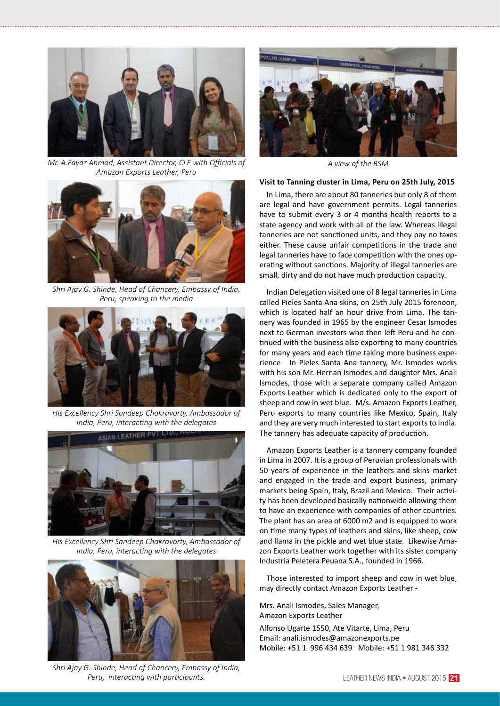

*Mr. A.Fayaz Ahmad, Assistant Director, CLE with Officials of Amazon Exports Leather, Peru*



*Shri Ajay G. Shinde, Head of Chancery, Embassy of India, Peru, speaking to the media*



*His Excellency Shri Sandeep Chakravorty, Ambassador of India, Peru, interacting with the delegates*



*His Excellency Shri Sandeep Chakravorty, Ambassador of India, Peru, interacting with the delegates*



*Shri Ajay G. Shinde, Head of Chancery, Embassy of India, Peru, interacting with participants.* 



*A view of the BSM*

#### **Visit to Tanning cluster in Lima, Peru on 25th July, 2015**

In Lima, there are about 80 tanneries but only 8 of them are legal and have government permits. Legal tanneries have to submit every 3 or 4 months health reports to a state agency and work with all of the law. Whereas illegal tanneries are not sanctioned units, and they pay no taxes either. These cause unfair competitions in the trade and legal tanneries have to face competition with the ones operating without sanctions. Majority of illegal tanneries are small, dirty and do not have much production capacity.

Indian Delegation visited one of 8 legal tanneries in Lima called Pieles Santa Ana skins, on 25th July 2015 forenoon, which is located half an hour drive from Lima. The tannery was founded in 1965 by the engineer Cesar Ismodes next to German investors who then left Peru and he continued with the business also exporting to many countries for many years and each time taking more business experience In Pieles Santa Ana tannery, Mr. Ismodes works with his son Mr. Hernan Ismodes and daughter Mrs. Anali Ismodes, those with a separate company called Amazon Exports Leather which is dedicated only to the export of sheep and cow in wet blue. M/s. Amazon Exports Leather, Peru exports to many countries like Mexico, Spain, Italy and they are very much interested to start exports to India. The tannery has adequate capacity of production.

Amazon Exports Leather is a tannery company founded in Lima in 2007. It is a group of Peruvian professionals with 50 years of experience in the leathers and skins market and engaged in the trade and export business, primary markets being Spain, Italy, Brazil and Mexico. Their activity has been developed basically nationwide allowing them to have an experience with companies of other countries. The plant has an area of 6000 m2 and is equipped to work on time many types of leathers and skins, like sheep, cow and llama in the pickle and wet blue state. Likewise Amazon Exports Leather work together with its sister company Industria Peletera Peuana S.A., founded in 1966.

Those interested to import sheep and cow in wet blue, may directly contact Amazon Exports Leather -

Mrs. Anali Ismodes, Sales Manager, Amazon Exports Leather

Alfonso Ugarte 1550, Ate Vitarte, Lima, Peru Email: anali.ismodes@amazonexports.pe Mobile: +51 1 996 434 639 Mobile: +51 1 981 346 332